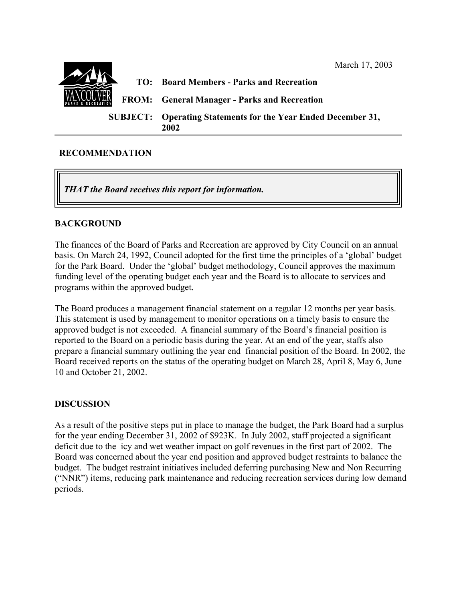

### **RECOMMENDATION**

*THAT the Board receives this report for information.*

### **BACKGROUND**

The finances of the Board of Parks and Recreation are approved by City Council on an annual basis. On March 24, 1992, Council adopted for the first time the principles of a 'global' budget for the Park Board. Under the 'global' budget methodology, Council approves the maximum funding level of the operating budget each year and the Board is to allocate to services and programs within the approved budget.

The Board produces a management financial statement on a regular 12 months per year basis. This statement is used by management to monitor operations on a timely basis to ensure the approved budget is not exceeded. A financial summary of the Board's financial position is reported to the Board on a periodic basis during the year. At an end of the year, staffs also prepare a financial summary outlining the year end financial position of the Board. In 2002, the Board received reports on the status of the operating budget on March 28, April 8, May 6, June 10 and October 21, 2002.

### **DISCUSSION**

As a result of the positive steps put in place to manage the budget, the Park Board had a surplus for the year ending December 31, 2002 of \$923K. In July 2002, staff projected a significant deficit due to the icy and wet weather impact on golf revenues in the first part of 2002. The Board was concerned about the year end position and approved budget restraints to balance the budget. The budget restraint initiatives included deferring purchasing New and Non Recurring ("NNR") items, reducing park maintenance and reducing recreation services during low demand periods.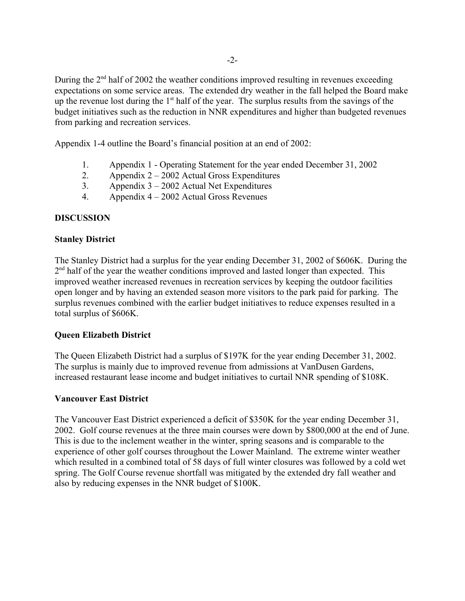During the 2<sup>nd</sup> half of 2002 the weather conditions improved resulting in revenues exceeding expectations on some service areas. The extended dry weather in the fall helped the Board make up the revenue lost during the 1<sup>st</sup> half of the year. The surplus results from the savings of the budget initiatives such as the reduction in NNR expenditures and higher than budgeted revenues from parking and recreation services.

Appendix 1-4 outline the Board's financial position at an end of 2002:

- 1. Appendix 1 Operating Statement for the year ended December 31, 2002
- 2. Appendix 2 2002 Actual Gross Expenditures
- 3. Appendix 3 2002 Actual Net Expenditures
- 4. Appendix 4 2002 Actual Gross Revenues

# **DISCUSSION**

# **Stanley District**

The Stanley District had a surplus for the year ending December 31, 2002 of \$606K. During the 2<sup>nd</sup> half of the year the weather conditions improved and lasted longer than expected. This improved weather increased revenues in recreation services by keeping the outdoor facilities open longer and by having an extended season more visitors to the park paid for parking. The surplus revenues combined with the earlier budget initiatives to reduce expenses resulted in a total surplus of \$606K.

# **Queen Elizabeth District**

The Queen Elizabeth District had a surplus of \$197K for the year ending December 31, 2002. The surplus is mainly due to improved revenue from admissions at VanDusen Gardens, increased restaurant lease income and budget initiatives to curtail NNR spending of \$108K.

# **Vancouver East District**

The Vancouver East District experienced a deficit of \$350K for the year ending December 31, 2002. Golf course revenues at the three main courses were down by \$800,000 at the end of June. This is due to the inclement weather in the winter, spring seasons and is comparable to the experience of other golf courses throughout the Lower Mainland. The extreme winter weather which resulted in a combined total of 58 days of full winter closures was followed by a cold wet spring. The Golf Course revenue shortfall was mitigated by the extended dry fall weather and also by reducing expenses in the NNR budget of \$100K.